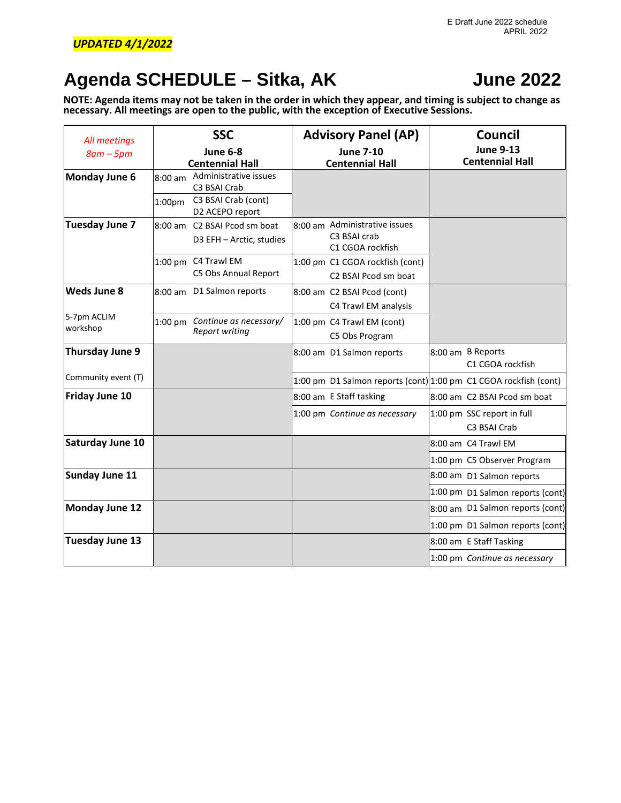## **Agenda SCHEDULE – Sitka, AK June 2022**

**NOTE: Agenda items may not be taken in the order in which they appear, and timing is subject to change as necessary. All meetings are open to the public, with the exception of Executive Sessions.**

| All meetings            |                                 | <b>SSC</b>                                                                      | <b>Advisory Panel (AP)</b>                                        | Council                                    |
|-------------------------|---------------------------------|---------------------------------------------------------------------------------|-------------------------------------------------------------------|--------------------------------------------|
| $8am - 5pm$             |                                 | June 6-8<br><b>Centennial Hall</b>                                              | <b>June 7-10</b><br><b>Centennial Hall</b>                        | <b>June 9-13</b><br><b>Centennial Hall</b> |
| <b>Monday June 6</b>    | $8:00$ am<br>1:00 <sub>pm</sub> | Administrative issues<br>C3 BSAI Crab<br>C3 BSAI Crab (cont)<br>D2 ACEPO report |                                                                   |                                            |
| Tuesday June 7          |                                 | 8:00 am C2 BSAI Pcod sm boat<br>D3 EFH - Arctic, studies                        | 8:00 am Administrative issues<br>C3 BSAI crab<br>C1 CGOA rockfish |                                            |
|                         |                                 | 1:00 pm C4 Trawl EM<br>C5 Obs Annual Report                                     | 1:00 pm C1 CGOA rockfish (cont)<br>C2 BSAI Pcod sm boat           |                                            |
| <b>Weds June 8</b>      |                                 | 8:00 am D1 Salmon reports                                                       | 8:00 am C2 BSAI Pcod (cont)<br>C4 Trawl EM analysis               |                                            |
| 5-7pm ACLIM<br>workshop |                                 | 1:00 pm Continue as necessary/<br><b>Report writing</b>                         | 1:00 pm C4 Trawl EM (cont)<br>C5 Obs Program                      |                                            |
| <b>Thursday June 9</b>  |                                 |                                                                                 | 8:00 am D1 Salmon reports                                         | 8:00 am B Reports<br>C1 CGOA rockfish      |
| Community event (T)     |                                 |                                                                                 | 1:00 pm D1 Salmon reports (cont) 1:00 pm C1 CGOA rockfish (cont)  |                                            |
| <b>Friday June 10</b>   |                                 |                                                                                 | 8:00 am E Staff tasking                                           | 8:00 am C2 BSAI Pcod sm boat               |
|                         |                                 |                                                                                 | 1:00 pm Continue as necessary                                     | 1:00 pm SSC report in full<br>C3 BSAI Crab |
| <b>Saturday June 10</b> |                                 |                                                                                 |                                                                   | 8:00 am C4 Trawl EM                        |
|                         |                                 |                                                                                 |                                                                   | 1:00 pm C5 Observer Program                |
| Sunday June 11          |                                 |                                                                                 |                                                                   | 8:00 am D1 Salmon reports                  |
|                         |                                 |                                                                                 |                                                                   | 1:00 pm D1 Salmon reports (cont)           |
| <b>Monday June 12</b>   |                                 |                                                                                 |                                                                   | 8:00 am D1 Salmon reports (cont)           |
|                         |                                 |                                                                                 |                                                                   | 1:00 pm D1 Salmon reports (cont)           |
| <b>Tuesday June 13</b>  |                                 |                                                                                 |                                                                   | 8:00 am E Staff Tasking                    |
|                         |                                 |                                                                                 |                                                                   | 1:00 pm Continue as necessary              |